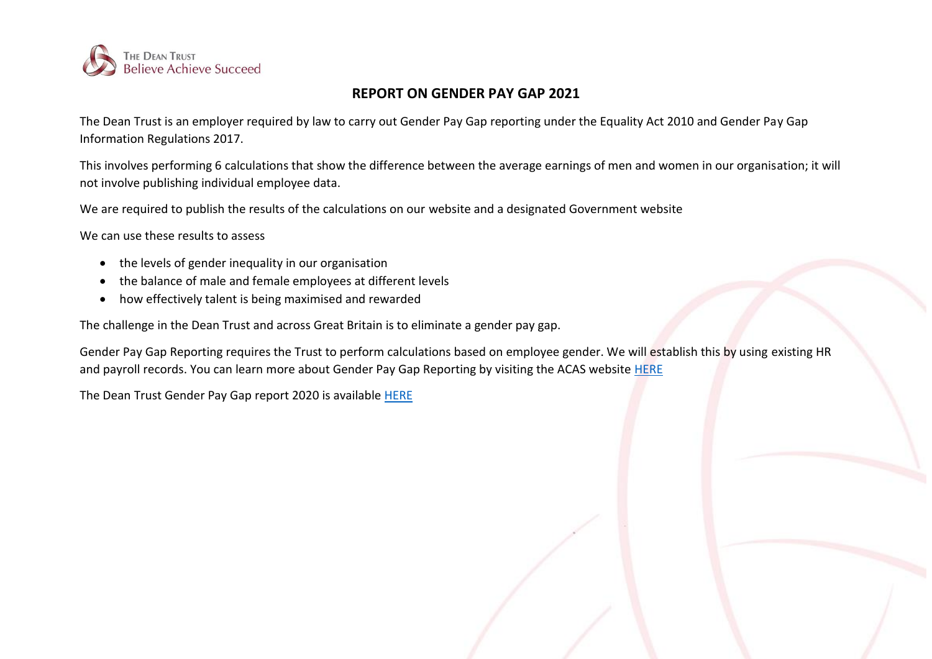

## **REPORT ON GENDER PAY GAP 2021**

The Dean Trust is an employer required by law to carry out Gender Pay Gap reporting under the Equality Act 2010 and Gender Pay Gap Information Regulations 2017.

This involves performing 6 calculations that show the difference between the average earnings of men and women in our organisation; it will not involve publishing individual employee data.

We are required to publish the results of the calculations on our website and a designated Government website

We can use these results to assess

- the levels of gender inequality in our organisation
- the balance of male and female employees at different levels
- how effectively talent is being maximised and rewarded

The challenge in the Dean Trust and across Great Britain is to eliminate a gender pay gap.

Gender Pay Gap Reporting requires the Trust to perform calculations based on employee gender. We will establish this by using existing HR and payroll records. You can learn more about Gender Pay Gap Reporting by visiting the ACAS website [HERE](http://www.acas.org.uk/index.aspx?articleid=5768)

The Dean Trust Gender Pay Gap report 2020 is available [HERE](https://www.thedeantrust.co.uk/trust-information/further-downloads/)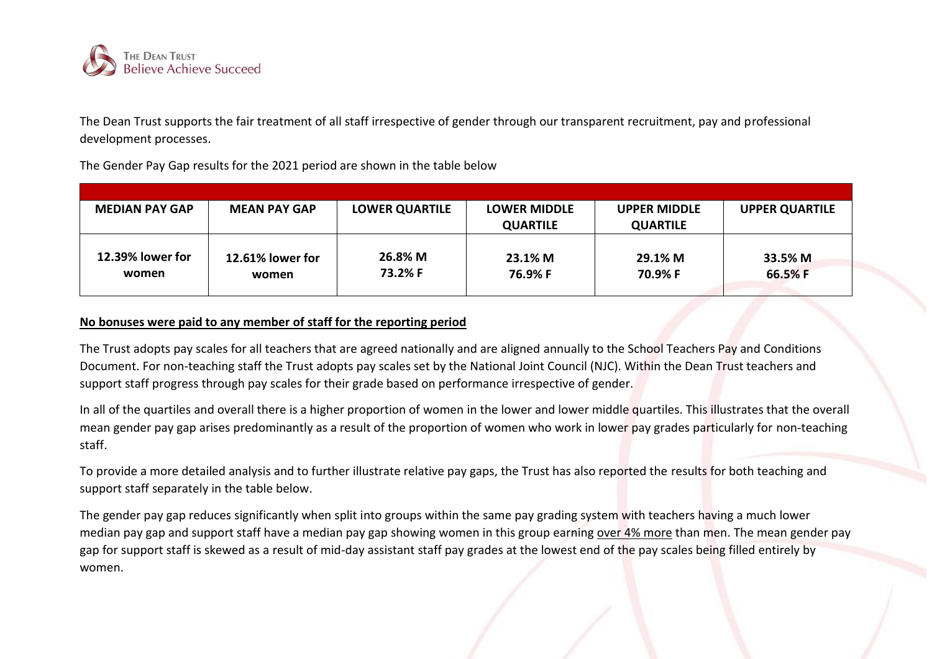

The Dean Trust supports the fair treatment of all staff irrespective of gender through our transparent recruitment, pay and professional development processes.

The Gender Pay Gap results for the 2021 period are shown in the table below

| <b>MEDIAN PAY GAP</b>     | <b>MEAN PAY GAP</b>       | <b>LOWER QUARTILE</b> | <b>LOWER MIDDLE</b> | <b>UPPER MIDDLE</b> | <b>UPPER QUARTILE</b> |
|---------------------------|---------------------------|-----------------------|---------------------|---------------------|-----------------------|
|                           |                           |                       | <b>QUARTILE</b>     | <b>QUARTILE</b>     |                       |
| 12.39% lower for<br>women | 12.61% lower for<br>women | 26.8% M<br>73.2% F    | 23.1% M<br>76.9% F  | 29.1% M<br>70.9% F  | 33.5% M<br>66.5% F    |

## **No bonuses were paid to any member of staff for the reporting period**

The Trust adopts pay scales for all teachers that are agreed nationally and are aligned annually to the School Teachers Pay and Conditions Document. For non-teaching staff the Trust adopts pay scales set by the National Joint Council (NJC). Within the Dean Trust teachers and support staff progress through pay scales for their grade based on performance irrespective of gender.

In all of the quartiles and overall there is a higher proportion of women in the lower and lower middle quartiles. This illustrates that the overall mean gender pay gap arises predominantly as a result of the proportion of women who work in lower pay grades particularly for non-teaching staff.

To provide a more detailed analysis and to further illustrate relative pay gaps, the Trust has also reported the results for both teaching and support staff separately in the table below.

The gender pay gap reduces significantly when split into groups within the same pay grading system with teachers having a much lower median pay gap and support staff have a median pay gap showing women in this group earning over 4% more than men. The mean gender pay gap for support staff is skewed as a result of mid-day assistant staff pay grades at the lowest end of the pay scales being filled entirely by women.